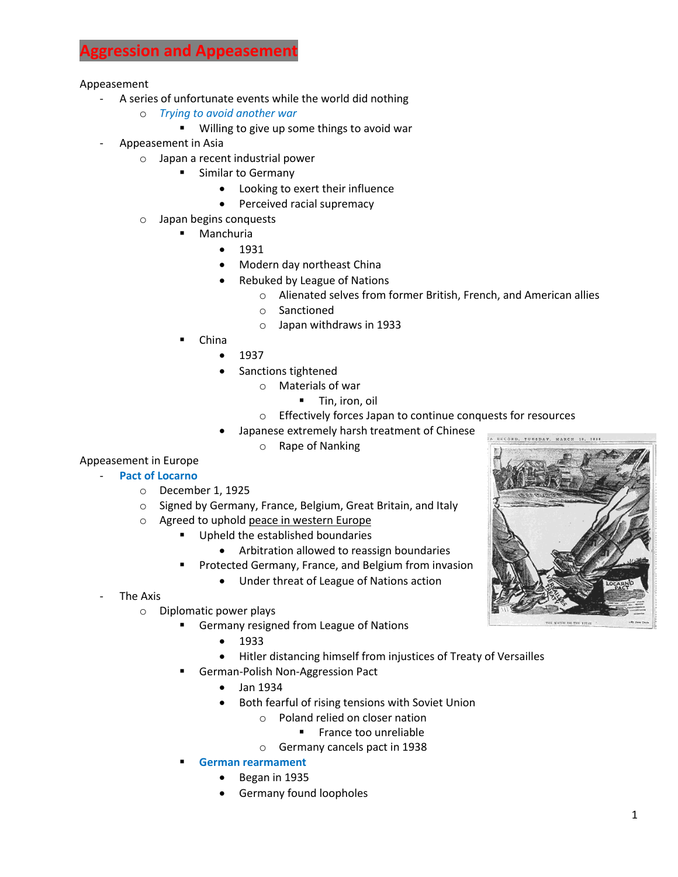## **Aggression and Appeasement**

Appeasement

- A series of unfortunate events while the world did nothing
	- o *Trying to avoid another war*
		- **Willing to give up some things to avoid war**
- Appeasement in Asia
	- o Japan a recent industrial power
		- **EXEC** Similar to Germany
			- Looking to exert their influence
			- Perceived racial supremacy
	- o Japan begins conquests
		- Manchuria
			- $1931$
			- Modern day northeast China
			- Rebuked by League of Nations
				- o Alienated selves from former British, French, and American allies
				- o Sanctioned
				- o Japan withdraws in 1933
		- China
			- $1937$
			- Sanctions tightened
				- o Materials of war
					- **Tin, iron, oil**
				- o Effectively forces Japan to continue conquests for resources
			- Japanese extremely harsh treatment of Chinese
				- o Rape of Nanking

## Appeasement in Europe

- **Pact of Locarno**
	- o December 1, 1925
	- o Signed by Germany, France, Belgium, Great Britain, and Italy
	- o Agreed to uphold peace in western Europe
		- **Upheld the established boundaries** 
			- Arbitration allowed to reassign boundaries
			- Protected Germany, France, and Belgium from invasion
				- Under threat of League of Nations action
- The Axis
	- o Diplomatic power plays
		- **Germany resigned from League of Nations** 
			- 1933
			- Hitler distancing himself from injustices of Treaty of Versailles
		- German-Polish Non-Aggression Pact
			- Jan 1934
			- Both fearful of rising tensions with Soviet Union
				- o Poland relied on closer nation
					- **France too unreliable**
				- o Germany cancels pact in 1938
		- **German rearmament**
			- Began in 1935
			- Germany found loopholes

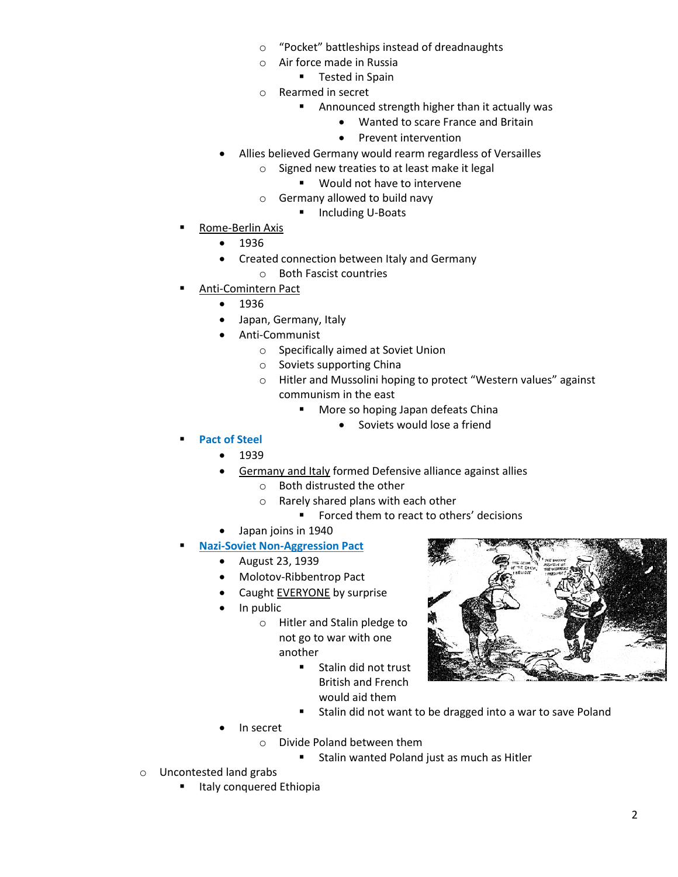- o "Pocket" battleships instead of dreadnaughts
- o Air force made in Russia
	- **Tested in Spain**
- o Rearmed in secret
	- **Announced strength higher than it actually was** 
		- Wanted to scare France and Britain
		- Prevent intervention
- Allies believed Germany would rearm regardless of Versailles
	- o Signed new treaties to at least make it legal
		- **Would not have to intervene**
	- o Germany allowed to build navy
		- **Including U-Boats**
- Rome-Berlin Axis
	- 1936
	- Created connection between Italy and Germany
		- o Both Fascist countries
- Anti-Comintern Pact
	- 1936
	- Japan, Germany, Italy
	- Anti-Communist
		- o Specifically aimed at Soviet Union
		- o Soviets supporting China
		- o Hitler and Mussolini hoping to protect "Western values" against communism in the east
			- **More so hoping Japan defeats China** 
				- Soviets would lose a friend
- **Pact of Steel**
	- 1939
	- Germany and Italy formed Defensive alliance against allies
		- o Both distrusted the other
			- o Rarely shared plans with each other
				- **Forced them to react to others' decisions**
	- Japan joins in 1940
	- **Nazi-Soviet Non-Aggression Pact**
		- August 23, 1939
		- Molotov-Ribbentrop Pact
		- Caught EVERYONE by surprise
		- In public
			- o Hitler and Stalin pledge to not go to war with one another
				- **Stalin did not trust** British and French would aid them
				- **Stalin did not want to be dragged into a war to save Poland**
		- In secret
			- o Divide Poland between them
				- **Stalin wanted Poland just as much as Hitler**
- o Uncontested land grabs
	- Italy conquered Ethiopia

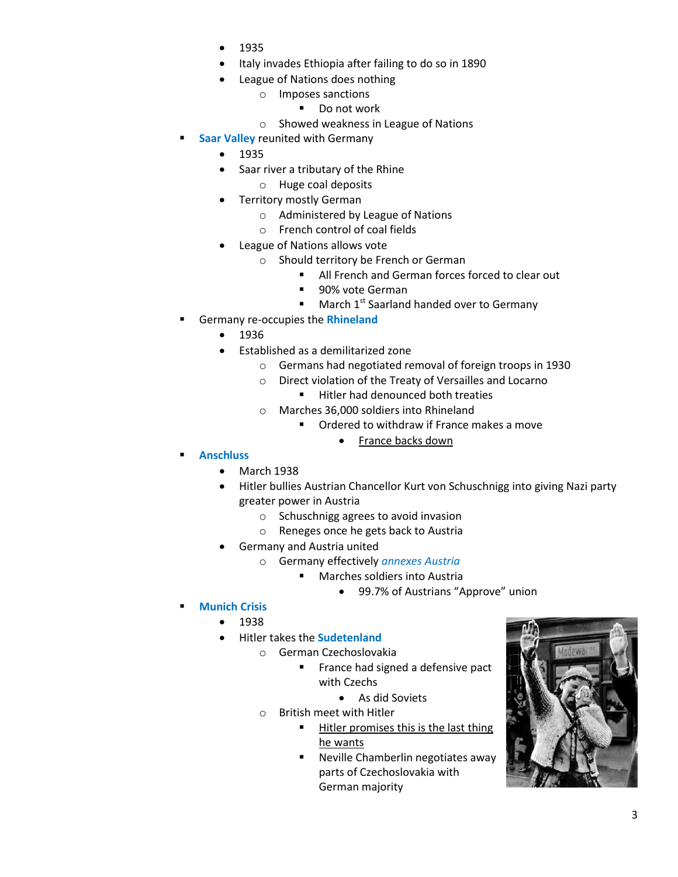- 1935
- Italy invades Ethiopia after failing to do so in 1890
- League of Nations does nothing
	- o Imposes sanctions
		- Do not work
	- o Showed weakness in League of Nations
- **Saar Valley** reunited with Germany
	- $1935$
	- Saar river a tributary of the Rhine
		- o Huge coal deposits
	- Territory mostly German
		- o Administered by League of Nations
		- o French control of coal fields
	- League of Nations allows vote
		- o Should territory be French or German
			- All French and German forces forced to clear out
			- **90% vote German**
			- $\blacksquare$  March 1<sup>st</sup> Saarland handed over to Germany
- Germany re-occupies the **Rhineland**
	- $1936$
	- Established as a demilitarized zone
		- o Germans had negotiated removal of foreign troops in 1930
		- o Direct violation of the Treaty of Versailles and Locarno
			- **Hitler had denounced both treaties**
		- o Marches 36,000 soldiers into Rhineland
			- **Ordered to withdraw if France makes a move** 
				- France backs down
- **Anschluss**
	- March 1938
	- Hitler bullies Austrian Chancellor Kurt von Schuschnigg into giving Nazi party greater power in Austria
		- o Schuschnigg agrees to avoid invasion
		- o Reneges once he gets back to Austria
	- Germany and Austria united
		- o Germany effectively *annexes Austria*
			- Marches soldiers into Austria
				- 99.7% of Austrians "Approve" union
- **Munich Crisis**
	- 1938
		- Hitler takes the **Sudetenland**
			- o German Czechoslovakia
				- **France had signed a defensive pact** with Czechs
					- As did Soviets
				- o British meet with Hitler
					- **Hitler promises this is the last thing** he wants
						- **Neville Chamberlin negotiates away** parts of Czechoslovakia with German majority